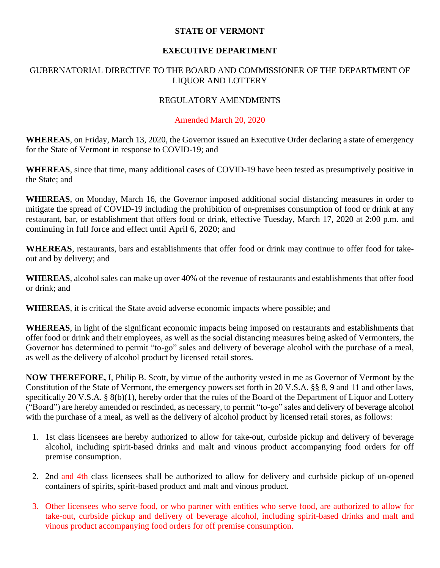#### **STATE OF VERMONT**

# **EXECUTIVE DEPARTMENT**

# GUBERNATORIAL DIRECTIVE TO THE BOARD AND COMMISSIONER OF THE DEPARTMENT OF LIQUOR AND LOTTERY

# REGULATORY AMENDMENTS

#### Amended March 20, 2020

**WHEREAS**, on Friday, March 13, 2020, the Governor issued an Executive Order declaring a state of emergency for the State of Vermont in response to COVID-19; and

**WHEREAS**, since that time, many additional cases of COVID-19 have been tested as presumptively positive in the State; and

**WHEREAS**, on Monday, March 16, the Governor imposed additional social distancing measures in order to mitigate the spread of COVID-19 including the prohibition of on-premises consumption of food or drink at any restaurant, bar, or establishment that offers food or drink, effective Tuesday, March 17, 2020 at 2:00 p.m. and continuing in full force and effect until April 6, 2020; and

**WHEREAS**, restaurants, bars and establishments that offer food or drink may continue to offer food for takeout and by delivery; and

**WHEREAS**, alcohol sales can make up over 40% of the revenue of restaurants and establishments that offer food or drink; and

**WHEREAS**, it is critical the State avoid adverse economic impacts where possible; and

**WHEREAS**, in light of the significant economic impacts being imposed on restaurants and establishments that offer food or drink and their employees, as well as the social distancing measures being asked of Vermonters, the Governor has determined to permit "to-go" sales and delivery of beverage alcohol with the purchase of a meal, as well as the delivery of alcohol product by licensed retail stores.

**NOW THEREFORE,** I, Philip B. Scott, by virtue of the authority vested in me as Governor of Vermont by the Constitution of the State of Vermont, the emergency powers set forth in 20 V.S.A. §§ 8, 9 and 11 and other laws, specifically 20 V.S.A. § 8(b)(1), hereby order that the rules of the Board of the Department of Liquor and Lottery ("Board") are hereby amended or rescinded, as necessary, to permit "to-go" sales and delivery of beverage alcohol with the purchase of a meal, as well as the delivery of alcohol product by licensed retail stores, as follows:

- 1. 1st class licensees are hereby authorized to allow for take-out, curbside pickup and delivery of beverage alcohol, including spirit-based drinks and malt and vinous product accompanying food orders for off premise consumption.
- 2. 2nd and 4th class licensees shall be authorized to allow for delivery and curbside pickup of un-opened containers of spirits, spirit-based product and malt and vinous product.
- 3. Other licensees who serve food, or who partner with entities who serve food, are authorized to allow for take-out, curbside pickup and delivery of beverage alcohol, including spirit-based drinks and malt and vinous product accompanying food orders for off premise consumption.